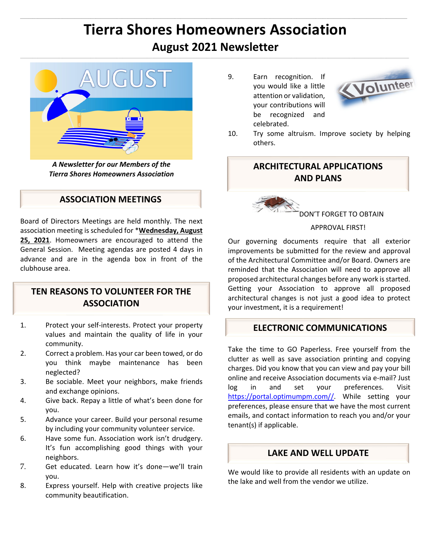## **Tierra Shores Homeowners Association August 2021 Newsletter**  $\mathcal{L}_\text{u} = \mathcal{L}_\text{u} = \mathcal{L}_\text{u} = \mathcal{L}_\text{u} = \mathcal{L}_\text{u} = \mathcal{L}_\text{u} = \mathcal{L}_\text{u} = \mathcal{L}_\text{u} = \mathcal{L}_\text{u} = \mathcal{L}_\text{u} = \mathcal{L}_\text{u} = \mathcal{L}_\text{u} = \mathcal{L}_\text{u} = \mathcal{L}_\text{u} = \mathcal{L}_\text{u} = \mathcal{L}_\text{u} = \mathcal{L}_\text{u} = \mathcal{L}_\text{u} = \mathcal{$



*A Newsletter for our Members of the Tierra Shores Homeowners Association* 

## **ASSOCIATION MEETINGS**

Board of Directors Meetings are held monthly. The next association meeting is scheduled for \***Wednesday, August 25, 2021**. Homeowners are encouraged to attend the General Session. Meeting agendas are posted 4 days in advance and are in the agenda box in front of the clubhouse area.

## **TEN REASONS TO VOLUNTEER FOR THE ASSOCIATION**

- 1. Protect your self-interests. Protect your property values and maintain the quality of life in your community.
- 2. Correct a problem. Has your car been towed, or do you think maybe maintenance has been neglected?
- 3. Be sociable. Meet your neighbors, make friends and exchange opinions.
- 4. Give back. Repay a little of what's been done for you.
- 5. Advance your career. Build your personal resume by including your community volunteer service.
- 6. Have some fun. Association work isn't drudgery. It's fun accomplishing good things with your neighbors.
- 7. Get educated. Learn how it's done—we'll train you.
- 8. Express yourself. Help with creative projects like community beautification.

9. Earn recognition. If you would like a little attention or validation, your contributions will be recognized and celebrated.



10. Try some altruism. Improve society by helping others.

## **ARCHITECTURAL APPLICATIONS AND PLANS**

DON'T FORGET TO OBTAIN

#### APPROVAL FIRST!

Our governing documents require that all exterior improvements be submitted for the review and approval of the Architectural Committee and/or Board. Owners are reminded that the Association will need to approve all proposed architectural changes before any work is started. Getting your Association to approve all proposed architectural changes is not just a good idea to protect your investment, it is a requirement!

## **ELECTRONIC COMMUNICATIONS**

Take the time to GO Paperless. Free yourself from the clutter as well as save association printing and copying charges. Did you know that you can view and pay your bill online and receive Association documents via e-mail? Just log in and set your preferences. Visit https://portal.optimumpm.com//. While setting your preferences, please ensure that we have the most current emails, and contact information to reach you and/or your tenant(s) if applicable.

## **LAKE AND WELL UPDATE**

r.

We would like to provide all residents with an update on the lake and well from the vendor we utilize.